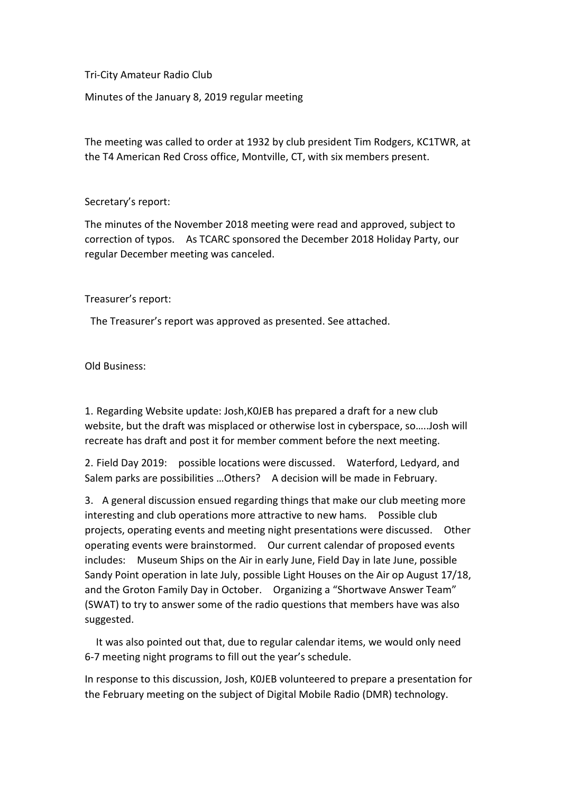Tri-City Amateur Radio Club

Minutes of the January 8, 2019 regular meeting

The meeting was called to order at 1932 by club president Tim Rodgers, KC1TWR, at the T4 American Red Cross office, Montville, CT, with six members present.

## Secretary's report:

The minutes of the November 2018 meeting were read and approved, subject to correction of typos. As TCARC sponsored the December 2018 Holiday Party, our regular December meeting was canceled.

## Treasurer's report:

The Treasurer's report was approved as presented. See attached.

Old Business:

1. Regarding Website update: Josh,K0JEB has prepared a draft for a new club website, but the draft was misplaced or otherwise lost in cyberspace, so…..Josh will recreate has draft and post it for member comment before the next meeting.

2. Field Day 2019: possible locations were discussed. Waterford, Ledyard, and Salem parks are possibilities ... Others? A decision will be made in February.

3. A general discussion ensued regarding things that make our club meeting more interesting and club operations more attractive to new hams. Possible club projects, operating events and meeting night presentations were discussed. Other operating events were brainstormed. Our current calendar of proposed events includes: Museum Ships on the Air in early June, Field Day in late June, possible Sandy Point operation in late July, possible Light Houses on the Air op August 17/18, and the Groton Family Day in October. Organizing a "Shortwave Answer Team" (SWAT) to try to answer some of the radio questions that members have was also suggested.

 It was also pointed out that, due to regular calendar items, we would only need 6-7 meeting night programs to fill out the year's schedule.

In response to this discussion, Josh, K0JEB volunteered to prepare a presentation for the February meeting on the subject of Digital Mobile Radio (DMR) technology.